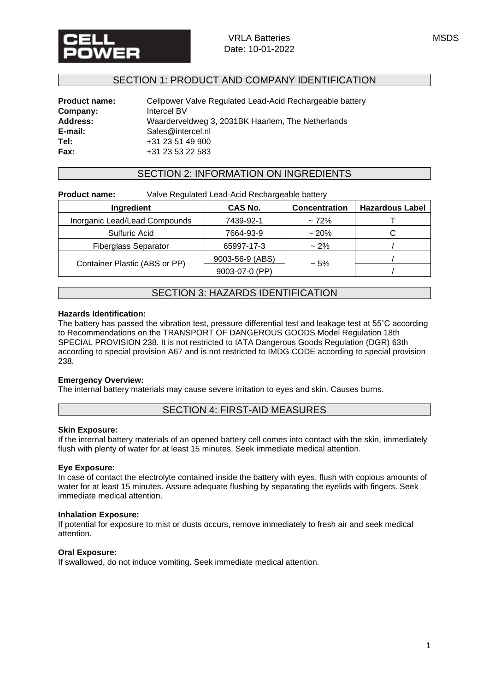

## SECTION 1: PRODUCT AND COMPANY IDENTIFICATION

| <b>Product name:</b> | Cellpower Valve Regulated Lead-Acid Rechargeable battery |
|----------------------|----------------------------------------------------------|
| Company:             | Intercel BV                                              |
| Address:             | Waarderveldweg 3, 2031BK Haarlem, The Netherlands        |
| E-mail:              | Sales@intercel.nl                                        |
| Tel:                 | +31 23 51 49 900                                         |
| Fax:                 | +31 23 53 22 583                                         |

### SECTION 2: INFORMATION ON INGREDIENTS

**Product name:** Valve Regulated Lead-Acid Rechargeable battery

| Ingredient                    | CAS No.         | <b>Concentration</b> | <b>Hazardous Label</b> |
|-------------------------------|-----------------|----------------------|------------------------|
| Inorganic Lead/Lead Compounds | 7439-92-1       | $~12\%$              |                        |
| Sulfuric Acid                 | 7664-93-9       | $~20\%$              |                        |
| <b>Fiberglass Separator</b>   | 65997-17-3      | $~2\%$               |                        |
|                               | 9003-56-9 (ABS) |                      |                        |
| Container Plastic (ABS or PP) | 9003-07-0 (PP)  | $~1.5\%$             |                        |

# SECTION 3: HAZARDS IDENTIFICATION

#### **Hazards Identification:**

The battery has passed the vibration test, pressure differential test and leakage test at 55˚C according to Recommendations on the TRANSPORT OF DANGEROUS GOODS Model Regulation 18th SPECIAL PROVISION 238. It is not restricted to IATA Dangerous Goods Regulation (DGR) 63th according to special provision A67 and is not restricted to IMDG CODE according to special provision 238.

### **Emergency Overview:**

The internal battery materials may cause severe irritation to eyes and skin. Causes burns.

## SECTION 4: FIRST-AID MEASURES

#### **Skin Exposure:**

If the internal battery materials of an opened battery cell comes into contact with the skin, immediately flush with plenty of water for at least 15 minutes. Seek immediate medical attention.

### **Eye Exposure:**

In case of contact the electrolyte contained inside the battery with eyes, flush with copious amounts of water for at least 15 minutes. Assure adequate flushing by separating the eyelids with fingers. Seek immediate medical attention.

#### **Inhalation Exposure:**

If potential for exposure to mist or dusts occurs, remove immediately to fresh air and seek medical attention.

#### **Oral Exposure:**

If swallowed, do not induce vomiting. Seek immediate medical attention.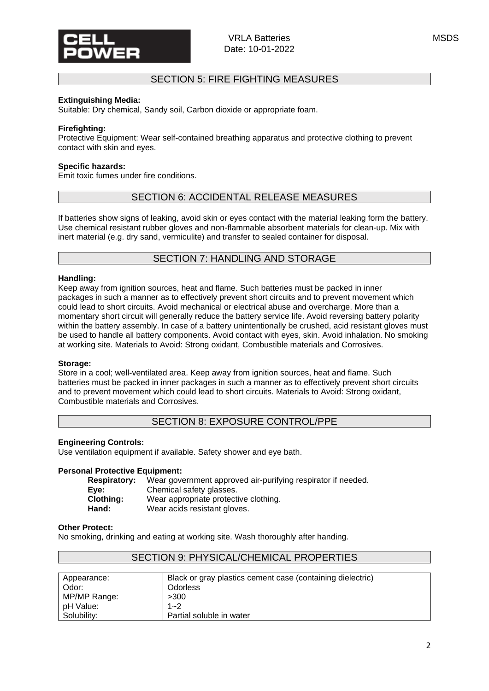# SECTION 5: FIRE FIGHTING MEASURES

### **Extinguishing Media:**

Suitable: Dry chemical, Sandy soil, Carbon dioxide or appropriate foam.

#### **Firefighting:**

Protective Equipment: Wear self-contained breathing apparatus and protective clothing to prevent contact with skin and eyes.

#### **Specific hazards:**

Emit toxic fumes under fire conditions.

## SECTION 6: ACCIDENTAL RELEASE MEASURES

If batteries show signs of leaking, avoid skin or eyes contact with the material leaking form the battery. Use chemical resistant rubber gloves and non-flammable absorbent materials for clean-up. Mix with inert material (e.g. dry sand, vermiculite) and transfer to sealed container for disposal.

## SECTION 7: HANDLING AND STORAGE

#### **Handling:**

Keep away from ignition sources, heat and flame. Such batteries must be packed in inner packages in such a manner as to effectively prevent short circuits and to prevent movement which could lead to short circuits. Avoid mechanical or electrical abuse and overcharge. More than a momentary short circuit will generally reduce the battery service life. Avoid reversing battery polarity within the battery assembly. In case of a battery unintentionally be crushed, acid resistant gloves must be used to handle all battery components. Avoid contact with eyes, skin. Avoid inhalation. No smoking at working site. Materials to Avoid: Strong oxidant, Combustible materials and Corrosives.

#### **Storage:**

Store in a cool; well-ventilated area. Keep away from ignition sources, heat and flame. Such batteries must be packed in inner packages in such a manner as to effectively prevent short circuits and to prevent movement which could lead to short circuits. Materials to Avoid: Strong oxidant, Combustible materials and Corrosives.

## SECTION 8: EXPOSURE CONTROL/PPE

#### **Engineering Controls:**

Use ventilation equipment if available. Safety shower and eye bath.

#### **Personal Protective Equipment:**

| <b>Respiratory:</b> | Wear government approved air-purifying respirator if needed. |
|---------------------|--------------------------------------------------------------|
| Eve:                | Chemical safety glasses.                                     |
| Clothing:           | Wear appropriate protective clothing.                        |
| Hand:               | Wear acids resistant gloves.                                 |

#### **Other Protect:**

No smoking, drinking and eating at working site. Wash thoroughly after handing.

| Appearance:  | Black or gray plastics cement case (containing dielectric) |
|--------------|------------------------------------------------------------|
| Odor:        | <b>Odorless</b>                                            |
| MP/MP Range: | >300                                                       |
| pH Value:    | $1 - 2$                                                    |
| Solubility:  | Partial soluble in water                                   |

# SECTION 9: PHYSICAL/CHEMICAL PROPERTIES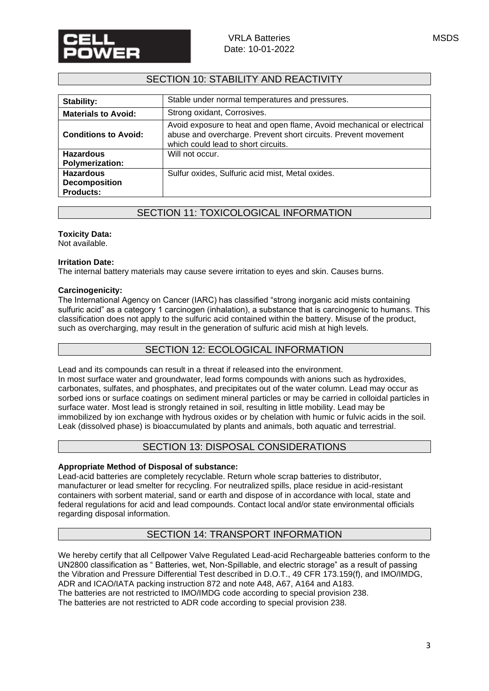# SECTION 10: STABILITY AND REACTIVITY

| Stability:                                 | Stable under normal temperatures and pressures.                                                                                                                                |
|--------------------------------------------|--------------------------------------------------------------------------------------------------------------------------------------------------------------------------------|
| <b>Materials to Avoid:</b>                 | Strong oxidant, Corrosives.                                                                                                                                                    |
| <b>Conditions to Avoid:</b>                | Avoid exposure to heat and open flame, Avoid mechanical or electrical<br>abuse and overcharge. Prevent short circuits. Prevent movement<br>which could lead to short circuits. |
| <b>Hazardous</b><br><b>Polymerization:</b> | Will not occur.                                                                                                                                                                |
| <b>Hazardous</b>                           |                                                                                                                                                                                |
| <b>Decomposition</b><br><b>Products:</b>   | Sulfur oxides, Sulfuric acid mist, Metal oxides.                                                                                                                               |

# SECTION 11: TOXICOLOGICAL INFORMATION

### **Toxicity Data:**

Not available.

#### **Irritation Date:**

The internal battery materials may cause severe irritation to eyes and skin. Causes burns.

#### **Carcinogenicity:**

The International Agency on Cancer (IARC) has classified "strong inorganic acid mists containing sulfuric acid" as a category 1 carcinogen (inhalation), a substance that is carcinogenic to humans. This classification does not apply to the sulfuric acid contained within the battery. Misuse of the product, such as overcharging, may result in the generation of sulfuric acid mish at high levels.

## SECTION 12: ECOLOGICAL INFORMATION

Lead and its compounds can result in a threat if released into the environment. In most surface water and groundwater, lead forms compounds with anions such as hydroxides, carbonates, sulfates, and phosphates, and precipitates out of the water column. Lead may occur as sorbed ions or surface coatings on sediment mineral particles or may be carried in colloidal particles in surface water. Most lead is strongly retained in soil, resulting in little mobility. Lead may be immobilized by ion exchange with hydrous oxides or by chelation with humic or fulvic acids in the soil. Leak (dissolved phase) is bioaccumulated by plants and animals, both aquatic and terrestrial.

## SECTION 13: DISPOSAL CONSIDERATIONS

### **Appropriate Method of Disposal of substance:**

Lead-acid batteries are completely recyclable. Return whole scrap batteries to distributor, manufacturer or lead smelter for recycling. For neutralized spills, place residue in acid-resistant containers with sorbent material, sand or earth and dispose of in accordance with local, state and federal regulations for acid and lead compounds. Contact local and/or state environmental officials regarding disposal information.

# SECTION 14: TRANSPORT INFORMATION

We hereby certify that all Cellpower Valve Regulated Lead-acid Rechargeable batteries conform to the UN2800 classification as " Batteries, wet, Non-Spillable, and electric storage" as a result of passing the Vibration and Pressure Differential Test described in D.O.T., 49 CFR 173.159(f), and IMO/IMDG, ADR and ICAO/IATA packing instruction 872 and note A48, A67, A164 and A183.

The batteries are not restricted to IMO/IMDG code according to special provision 238.

The batteries are not restricted to ADR code according to special provision 238.